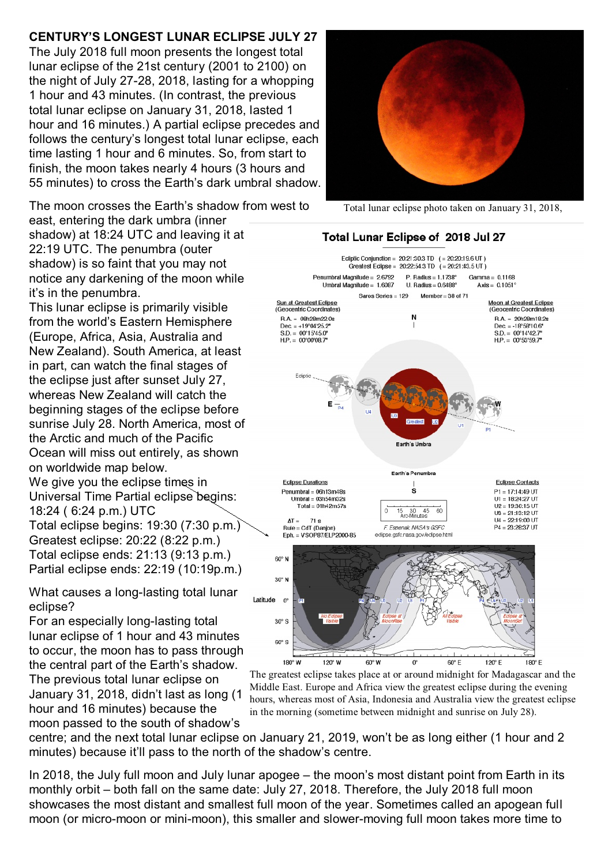## **CENTURY'S LONGEST LUNAR ECLIPSE JULY 27**

The July 2018 full moon presents the longest total lunar eclipse of the 21st century (2001 to 2100) on the night of July 27-28, 2018, lasting for a whopping 1 hour and 43 minutes. (In contrast, the previous total lunar eclipse on January 31, 2018, lasted 1 hour and 16 minutes.) A partial eclipse precedes and follows the century's longest total lunar eclipse, each time lasting 1 hour and 6 minutes. So, from start to finish, the moon takes nearly 4 hours (3 hours and 55 minutes) to cross the Earth's dark umbral shadow.

The moon crosses the Earth's shadow from west to east, entering the dark umbra (inner shadow) at 18:24 UTC and leaving it at 22:19 UTC. The penumbra (outer shadow) is so faint that you may not notice any darkening of the moon while it's in the penumbra.

This lunar eclipse is primarily visible from the world's Eastern Hemisphere (Europe, Africa, Asia, Australia and New Zealand). South America, at least in part, can watch the final stages of the eclipse just after sunset July 27, whereas New Zealand will catch the beginning stages of the eclipse before sunrise July 28. North America, most of the Arctic and much of the Pacific Ocean will miss out entirely, as shown on worldwide map below. We give you the eclipse times in Universal Time Partial eclipse begins: 18:24 ( 6:24 p.m.) UTC Total eclipse begins: 19:30 (7:30 p.m.) Greatest eclipse: 20:22 (8:22 p.m.) Total eclipse ends: 21:13 (9:13 p.m.) Partial eclipse ends: 22:19 (10:19p.m.)

What causes a long-lasting total lunar eclipse?

For an especially long-lasting total lunar eclipse of 1 hour and 43 minutes to occur, the moon has to pass through the central part of the Earth's shadow. The previous total lunar eclipse on January 31, 2018, didn't last as long (1 hour and 16 minutes) because the moon passed to the south of shadow's



Total lunar eclipse photo taken on January 31, 2018,



The greatest eclipse takes place at or around midnight for Madagascar and the Middle East. Europe and Africa view the greatest eclipse during the evening hours, whereas most of Asia, Indonesia and Australia view the greatest eclipse in the morning (sometime between midnight and sunrise on July 28).

centre; and the next total lunar eclipse on January 21, 2019, won't be as long either (1 hour and 2 minutes) because it'll pass to the north of the shadow's centre.

In 2018, the July full moon and July lunar apogee – the moon's most distant point from Earth in its monthly orbit – both fall on the same date: July 27, 2018. Therefore, the July 2018 full moon showcases the most distant and smallest full moon of the year. Sometimes called an apogean full moon (or micro-moon or mini-moon), this smaller and slower-moving full moon takes more time to